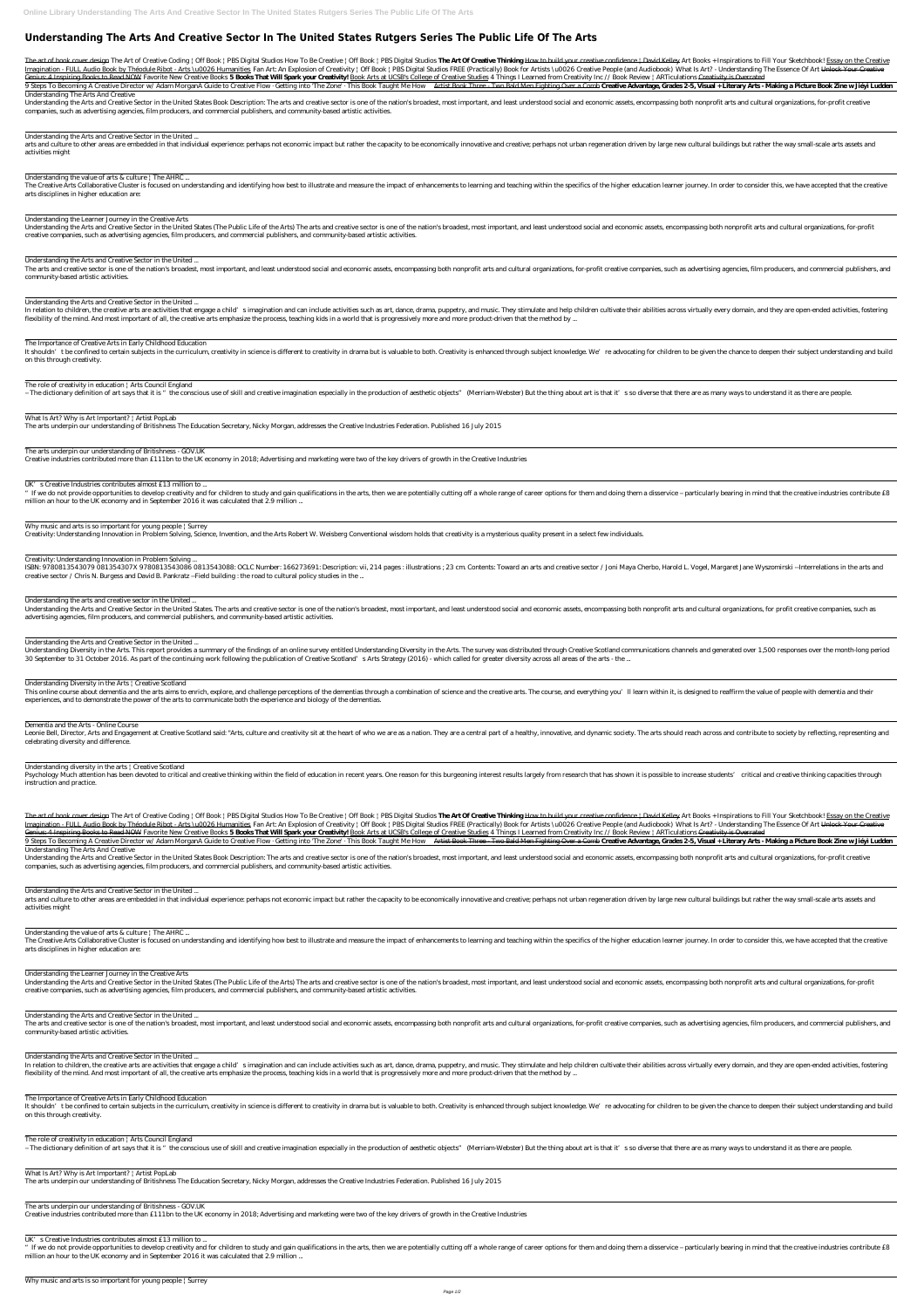# **Understanding The Arts And Creative Sector In The United States Rutgers Series The Public Life Of The Arts**

The art of book cover design The Art of Creative Coding | Off Book | PBS Digital Studios How To Be Creative | Off Book | PBS Digital Studios The Art Of Creative Thinking How to build your creative confidence | David Kelley Imagination - FULL Audio Book by Théodule Ribot - Arts \u0026 Humanities Fan Art: An Explosion of Creativity | Off Book | PBS Digital Studios FREE (Practically) Book for Artists \u0026 Creative People (and Audiobook) What Genius: 4 Inspiring Books to Read NOW Favorite New Creative Books 5 Books That Will Spark your Creativity! Book Arts at UCSB's College of Creative Studies 4 Things I Learned from Creativity Inc // Book Review | ARTiculatio

9 Steps To Becoming A Creative Director w/ Adam Morgan*A Guide to Creative Flow Getting into 'The Zone'* · This Book Taught Me How Artist Book Three Two Bald Men Fighting Over a Comb Creative Advantage, Grades 2-5, Visual Understanding The Arts And Creative

Understanding the Arts and Creative Sector in the United States Book Description: The arts and creative sector is one of the nation's broadest, most important, and least understood social and economic assets, encompassing companies, such as advertising agencies, film producers, and commercial publishers, and community-based artistic activities.

arts and culture to other areas are embedded in that individual experience: perhaps not economic impact but rather the capacity to be economically innovative and creative; perhaps not urban regeneration driven by large new activities might

Understanding the value of arts & culture | The AHRC ...

The Creative Arts Collaborative Cluster is focused on understanding and identifying how best to illustrate and measure the impact of enhancements to learning and teaching within the specifics of the higher education learne arts disciplines in higher education are:

Understanding the Arts and Creative Sector in the United States (The Public Life of the Arts) The arts and creative sector is one of the nation's broadest, most important, and least understood social and economic assets, e creative companies, such as advertising agencies, film producers, and commercial publishers, and community-based artistic activities.

The arts and creative sector is one of the nation's broadest, most important, and least understood social and economic assets, encompassing both nonprofit arts and cultural organizations, for-profit creative companies, suc community-based artistic activities.

Understanding the Arts and Creative Sector in the United ...

It shouldn't be confined to certain subjects in the curriculum, creativity in science is different to creativity in drama but is valuable to both. Creativity is enhanced through subject knowledge. We're advocating for chil on this through creativity.

The role of creativity in education | Arts Council England

- The dictionary definition of art says that it is " the conscious use of skill and creative imagination especially in the production of aesthetic objects" (Merriam-Webster) But the thing about art is that it's so diverse

Understanding the Learner Journey in the Creative Arts

" If we do not provide opportunities to develop creativity and for children to study and gain qualifications in the arts, then we are potentially cutting off a whole range of career options for them and doing them a disser million an hour to the UK economy and in September 2016 it was calculated that 2.9 million ...

# Why music and arts is so important for young people | Surrey

Understanding the Arts and Creative Sector in the United ...

ISBN: 9780813543079 081354307X 9780813543086 0813543088: OCLC Number: 166273691: Description: vii, 214 pages : illustrations ; 23 cm. Contents: Toward an arts and creative sector / Joni Maya Cherbo, Harold L. Vogel, Margar creative sector / Chris N. Burgess and David B. Pankratz --Field building : the road to cultural policy studies in the ...

Understanding the Arts and Creative Sector in the United States. The arts and creative sector is one of the nation's broadest, most important, and least understood social and economic assets, encompassing both nonprofit ar advertising agencies, film producers, and commercial publishers, and community-based artistic activities.

Understanding the Arts and Creative Sector in the United ...

In relation to children, the creative arts are activities that engage a child's imagination and can include activities such as art, dance, drama, puppetry, and music. They stimulate and help children cultivate their abilit flexibility of the mind. And most important of all, the creative arts emphasize the process, teaching kids in a world that is progressively more and more product-driven that the method by ...

Understanding Diversity in the Arts. This report provides a summary of the findings of an online survey entitled Understanding Diversity in the Arts. The survey was distributed through Creative Scotland communications chan 30 September to 31 October 2016. As part of the continuing work following the publication of Creative Scotland's Arts Strategy (2016) - which called for greater diversity across all areas of the arts - the ...

This online course about dementia and the arts aims to enrich, explore, and challenge perceptions of the dementias through a combination of science and the creative arts. The course, and everything you'll learn within it, experiences, and to demonstrate the power of the arts to communicate both the experience and biology of the dementias.

The Importance of Creative Arts in Early Childhood Education

Leonie Bell, Director, Arts and Engagement at Creative Scotland said: "Arts, culture and creativity sit at the heart of who we are as a nation. They are a central part of a healthy, innovative, and dynamic society. The art celebrating diversity and difference.

Psychology Much attention has been devoted to critical and creative thinking within the field of education in recent years. One reason for this burgeoning interest results largely from research that has shown it is possibl instruction and practice.

The art of book cover design The Art of Creative Coding | Off Book | PBS Digital Studios How To Be Creative | Off Book | PBS Digital Studios The Art Of Creative Thinking How to build your creative confidence | David Kelley Imagination - FULL Audio Book by Théodule Ribot - Arts \u0026 Humanities Fan Art: An Explosion of Creativity | Off Book | PBS Digital Studios FREE (Practically) Book for Artists \u0026 Creative People (and Audiobook) What Genius: 4 Inspiring Books to Read NOW Favorite New Creative Books 5 Books That Will Spark your Creativity! Book Arts at UCSB's College of Creative Studies 4 Things I Learned from Creativity Inc // Book Review | ARTiculatio

What Is Art? Why is Art Important? | Artist PopLab

The arts underpin our understanding of Britishness The Education Secretary, Nicky Morgan, addresses the Creative Industries Federation. Published 16 July 2015

9 Steps To Becoming A Creative Director w/ Adam Morgan*A Guide to Creative Flow Getting into 'The Zone'* · This Book Taught Me How Artist Book Three Two Bald Men Fighting Over a Comb Creative Advantage, Grades 2-5, Visual Understanding The Arts And Creative

The arts underpin our understanding of Britishness - GOV.UK

Creative industries contributed more than £111bn to the UK economy in 2018; Advertising and marketing were two of the key drivers of growth in the Creative Industries

UK's Creative Industries contributes almost £13 million to ...

Understanding the Arts and Creative Sector in the United States Book Description: The arts and creative sector is one of the nation's broadest, most important, and least understood social and economic assets, encompassing companies, such as advertising agencies, film producers, and commercial publishers, and community-based artistic activities.

arts and culture to other areas are embedded in that individual experience: perhaps not economic impact but rather the capacity to be economically innovative and creative; perhaps not urban regeneration driven by large new activities might

#### Understanding the value of arts & culture | The AHRC ...

The Creative Arts Collaborative Cluster is focused on understanding and identifying how best to illustrate and measure the impact of enhancements to learning and teaching within the specifics of the higher education learne arts disciplines in higher education are:

Creativity: Understanding Innovation in Problem Solving, Science, Invention, and the Arts Robert W. Weisberg Conventional wisdom holds that creativity is a mysterious quality present in a select few individuals.

The arts and creative sector is one of the nation's broadest, most important, and least understood social and economic assets, encompassing both nonprofit arts and cultural organizations, for-profit creative companies, suc community-based artistic activities.

#### Creativity: Understanding Innovation in Problem Solving ...

The Importance of Creative Arts in Early Childhood Education It shouldn't be confined to certain subjects in the curriculum, creativity in science is different to creativity in drama but is valuable to both. Creativity is enhanced through subject knowledge. We're advocating for chil

### Understanding the arts and creative sector in the United ...

#### Understanding the Arts and Creative Sector in the United ...

" If we do not provide opportunities to develop creativity and for children to study and gain qualifications in the arts, then we are potentially cutting off a whole range of career options for them and doing them a disser million an hour to the UK economy and in September 2016 it was calculated that 2.9 million ...

Why music and arts is so important for young people | Surrey

## Understanding Diversity in the Arts | Creative Scotland

#### Dementia and the Arts - Online Course

#### Understanding diversity in the arts | Creative Scotland

#### Understanding the Arts and Creative Sector in the United ...

#### Understanding the Learner Journey in the Creative Arts

Understanding the Arts and Creative Sector in the United States (The Public Life of the Arts) The arts and creative sector is one of the nation's broadest, most important, and least understood social and economic assets, e

Understanding the Arts and Creative Sector in the United ...

Understanding the Arts and Creative Sector in the United ...

In relation to children, the creative arts are activities that engage a child's imagination and can include activities such as art, dance, drama, puppetry, and music. They stimulate and help children cultivate their abilit flexibility of the mind. And most important of all, the creative arts emphasize the process, teaching kids in a world that is progressively more and more product-driven that the method by ...

on this through creativity.

- The dictionary definition of art says that it is " the conscious use of skill and creative imagination especially in the production of aesthetic objects" (Merriam-Webster) But the thing about art is that it's so diverse

The role of creativity in education | Arts Council England

What Is Art? Why is Art Important? | Artist PopLab The arts underpin our understanding of Britishness The Education Secretary, Nicky Morgan, addresses the Creative Industries Federation. Published 16 July 2015

The arts underpin our understanding of Britishness - GOV.UK Creative industries contributed more than £111bn to the UK economy in 2018; Advertising and marketing were two of the key drivers of growth in the Creative Industries

UK's Creative Industries contributes almost £13 million to ...